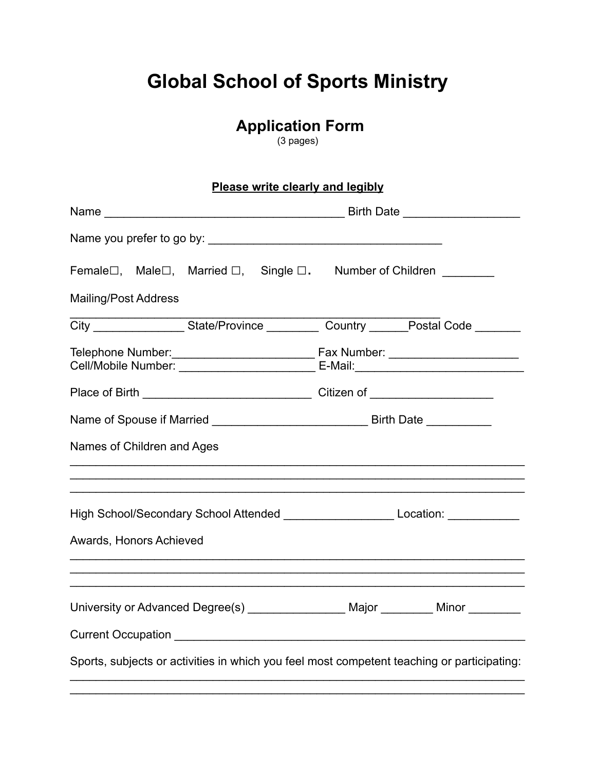# **Global School of Sports Ministry**

### **Application Form**

(3 pages)

#### **Please write clearly and legibly**

| Female□, Male□, Married □, Single □. Number of Children _______                            |  |  |  |  |
|--------------------------------------------------------------------------------------------|--|--|--|--|
| <b>Mailing/Post Address</b>                                                                |  |  |  |  |
|                                                                                            |  |  |  |  |
| Cell/Mobile Number: __________________________________ E-Mail: _________________           |  |  |  |  |
|                                                                                            |  |  |  |  |
|                                                                                            |  |  |  |  |
| Names of Children and Ages                                                                 |  |  |  |  |
| High School/Secondary School Attended ___________________________Location: ____________    |  |  |  |  |
| Awards, Honors Achieved                                                                    |  |  |  |  |
|                                                                                            |  |  |  |  |
|                                                                                            |  |  |  |  |
| Sports, subjects or activities in which you feel most competent teaching or participating: |  |  |  |  |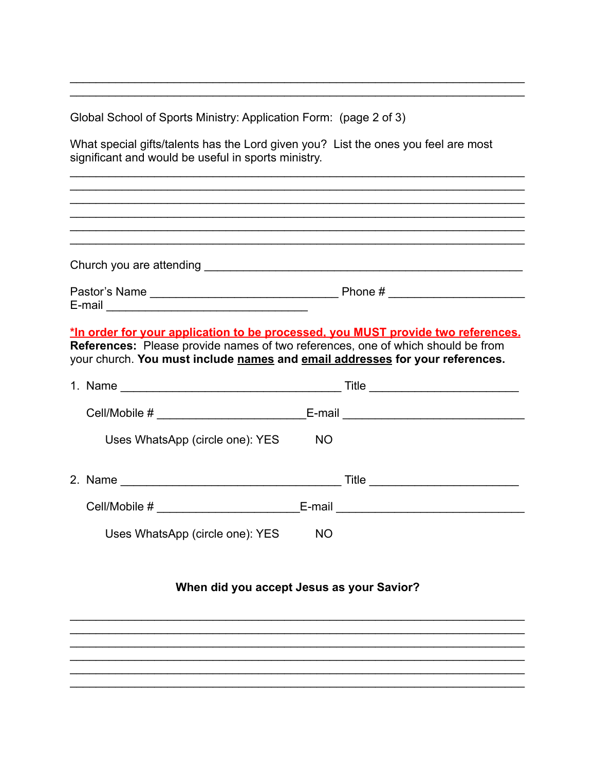Global School of Sports Ministry: Application Form: (page 2 of 3)

E-mail and the contract of the contract of the contract of the contract of the contract of the contract of the

What special gifts/talents has the Lord given you? List the ones you feel are most significant and would be useful in sports ministry.

\*In order for your application to be processed, you MUST provide two references.

References: Please provide names of two references, one of which should be from your church. You must include names and email addresses for your references.

|                                 |           | Title <u>___________________</u>  |
|---------------------------------|-----------|-----------------------------------|
|                                 |           | E-mail __________________________ |
| Uses WhatsApp (circle one): YES | <b>NO</b> |                                   |
|                                 |           | Title <u>________________</u>     |
|                                 | E-mail    |                                   |
| Uses WhatsApp (circle one): YES | <b>NO</b> |                                   |

#### When did you accept Jesus as your Savior?